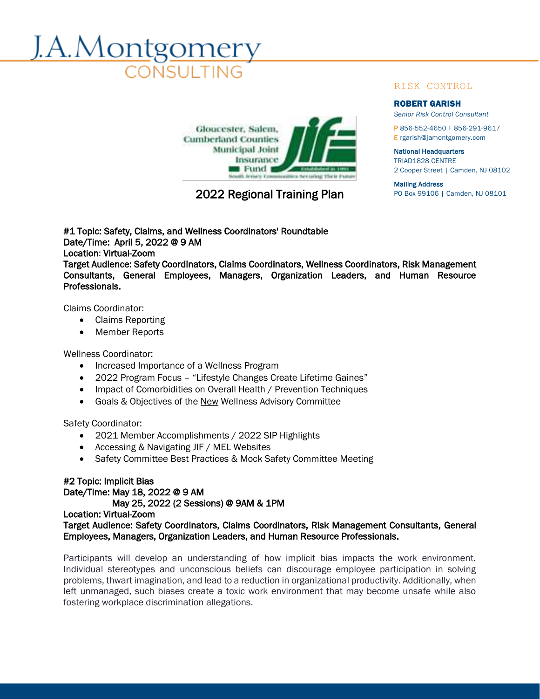# A.Montgomer



# 2022 Regional Training Plan PO Box 99106 | Camden, NJ 08101

# RISK CONTROL

### ROBERT GARISH

*Senior Risk Control Consultant*

P 856-552-4650 F 856-291-9617 E rgarish@jamontgomery.com

National Headquarters TRIAD1828 CENTRE

2 Cooper Street | Camden, NJ 08102

Mailing Address

#1 Topic: Safety, Claims, and Wellness Coordinators' Roundtable Date/Time: April 5, 2022 @ 9 AM Location: Virtual-Zoom Target Audience: Safety Coordinators, Claims Coordinators, Wellness Coordinators, Risk Management Consultants, General Employees, Managers, Organization Leaders, and Human Resource Professionals.

Claims Coordinator:

- Claims Reporting
- Member Reports

Wellness Coordinator:

- Increased Importance of a Wellness Program
- 2022 Program Focus "Lifestyle Changes Create Lifetime Gaines"
- Impact of Comorbidities on Overall Health / Prevention Techniques
- Goals & Objectives of the New Wellness Advisory Committee

Safety Coordinator:

- 2021 Member Accomplishments / 2022 SIP Highlights
- Accessing & Navigating JIF / MEL Websites
- Safety Committee Best Practices & Mock Safety Committee Meeting

# #2 Topic: Implicit Bias Date/Time: May 18, 2022 @ 9 AM

May 25, 2022 (2 Sessions) @ 9AM & 1PM

# Location: Virtual-Zoom Target Audience: Safety Coordinators, Claims Coordinators, Risk Management Consultants, General Employees, Managers, Organization Leaders, and Human Resource Professionals.

Participants will develop an understanding of how implicit bias impacts the work environment. Individual stereotypes and unconscious beliefs can discourage employee participation in solving problems, thwart imagination, and lead to a reduction in organizational productivity. Additionally, when left unmanaged, such biases create a toxic work environment that may become unsafe while also fostering workplace discrimination allegations.